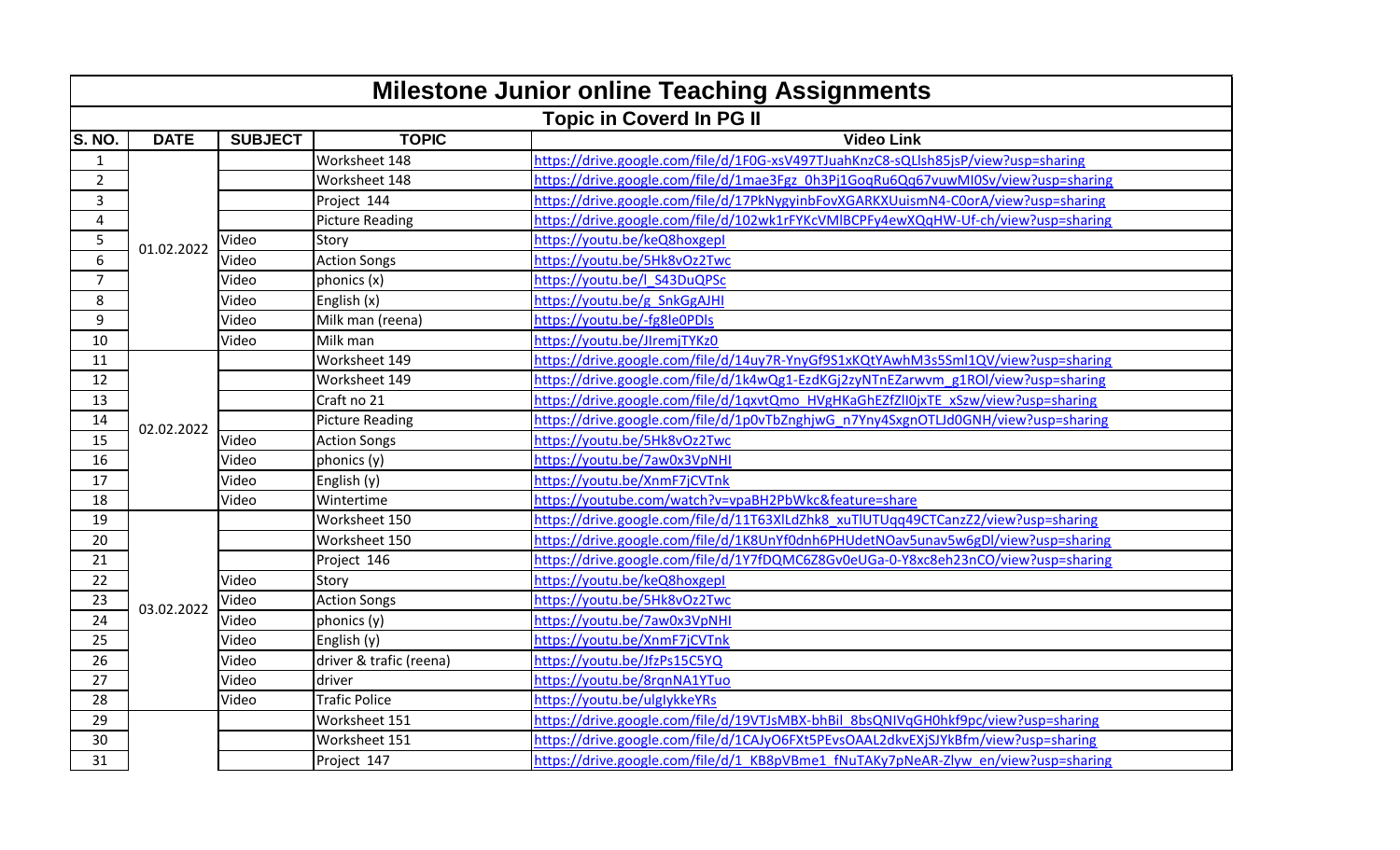| <b>Milestone Junior online Teaching Assignments</b> |             |                |                         |                                                                                    |  |
|-----------------------------------------------------|-------------|----------------|-------------------------|------------------------------------------------------------------------------------|--|
| <b>Topic in Coverd In PG II</b>                     |             |                |                         |                                                                                    |  |
| S. NO.                                              | <b>DATE</b> | <b>SUBJECT</b> | <b>TOPIC</b>            | <b>Video Link</b>                                                                  |  |
| $\mathbf{1}$                                        |             |                | Worksheet 148           | https://drive.google.com/file/d/1F0G-xsV497TJuahKnzC8-sQLlsh85jsP/view?usp=sharing |  |
| $\overline{2}$                                      |             |                | Worksheet 148           | https://drive.google.com/file/d/1mae3Fgz_0h3Pj1GoqRu6Qq67vuwMI0Sv/view?usp=sharing |  |
| 3                                                   |             |                | Project 144             | https://drive.google.com/file/d/17PkNygyinbFovXGARKXUuismN4-C0orA/view?usp=sharing |  |
| $\overline{4}$                                      |             |                | <b>Picture Reading</b>  | https://drive.google.com/file/d/102wk1rFYKcVMIBCPFy4ewXQqHW-Uf-ch/view?usp=sharing |  |
| 5                                                   | 01.02.2022  | Video          | Story                   | https://youtu.be/keQ8hoxgepl                                                       |  |
| $\overline{6}$                                      |             | Video          | <b>Action Songs</b>     | https://youtu.be/5Hk8vOz2Twc                                                       |  |
| $\overline{7}$                                      |             | Video          | phonics (x)             | https://youtu.be/l S43DuQPSc                                                       |  |
| 8                                                   |             | Video          | English (x)             | https://youtu.be/g SnkGgAJHI                                                       |  |
| 9                                                   |             | Video          | Milk man (reena)        | https://youtu.be/-fg8le0PDls                                                       |  |
| 10                                                  |             | Video          | Milk man                | https://youtu.be/JIremjTYKz0                                                       |  |
| 11                                                  |             |                | Worksheet 149           | https://drive.google.com/file/d/14uy7R-YnyGf9S1xKQtYAwhM3s5Sml1QV/view?usp=sharing |  |
| 12                                                  |             |                | Worksheet 149           | https://drive.google.com/file/d/1k4wQg1-EzdKGj2zyNTnEZarwvm_g1ROl/view?usp=sharing |  |
| 13                                                  |             |                | Craft no 21             | https://drive.google.com/file/d/1qxvtQmo HVgHKaGhEZfZlI0jxTE xSzw/view?usp=sharing |  |
| 14                                                  | 02.02.2022  |                | <b>Picture Reading</b>  | https://drive.google.com/file/d/1p0vTbZnghjwG_n7Yny4SxgnOTLJd0GNH/view?usp=sharing |  |
| 15                                                  |             | Video          | <b>Action Songs</b>     | https://voutu.be/5Hk8vOz2Twc                                                       |  |
| 16                                                  |             | Video          | phonics (y)             | https://youtu.be/7aw0x3VpNHI                                                       |  |
| 17                                                  |             | Video          | English (y)             | https://youtu.be/XnmF7jCVTnk                                                       |  |
| 18                                                  |             | Video          | Wintertime              | https://youtube.com/watch?v=vpaBH2PbWkc&feature=share                              |  |
| 19                                                  |             |                | Worksheet 150           | https://drive.google.com/file/d/11T63XILdZhk8_xuTlUTUqq49CTCanzZ2/view?usp=sharing |  |
| 20                                                  |             |                | Worksheet 150           | https://drive.google.com/file/d/1K8UnYf0dnh6PHUdetNOav5unav5w6gDl/view?usp=sharing |  |
| 21                                                  |             |                | Project 146             | https://drive.google.com/file/d/1Y7fDQMC6Z8Gv0eUGa-0-Y8xc8eh23nCO/view?usp=sharing |  |
| 22                                                  |             | Video          | Story                   | https://youtu.be/keQ8hoxgepl                                                       |  |
| 23                                                  | 03.02.2022  | Video          | <b>Action Songs</b>     | https://youtu.be/5Hk8vOz2Twc                                                       |  |
| 24                                                  |             | Video          | phonics (y)             | https://youtu.be/7aw0x3VpNHI                                                       |  |
| 25                                                  |             | Video          | English (y)             | https://youtu.be/XnmF7jCVTnk                                                       |  |
| 26                                                  |             | Video          | driver & trafic (reena) | https://voutu.be/JfzPs15C5YQ                                                       |  |
| 27                                                  |             | Video          | driver                  | https://youtu.be/8rqnNA1YTuo                                                       |  |
| 28                                                  |             | Video          | <b>Trafic Police</b>    | https://youtu.be/ulglykkeYRs                                                       |  |
| 29                                                  |             |                | Worksheet 151           | https://drive.google.com/file/d/19VTJsMBX-bhBil 8bsQNIVqGH0hkf9pc/view?usp=sharing |  |
| 30                                                  |             |                | Worksheet 151           | https://drive.google.com/file/d/1CAJyO6FXt5PEvsOAAL2dkvEXiSJYkBfm/view?usp=sharing |  |
| 31                                                  |             |                | Project 147             | https://drive.google.com/file/d/1 KB8pVBme1 fNuTAKy7pNeAR-Zlyw en/view?usp=sharing |  |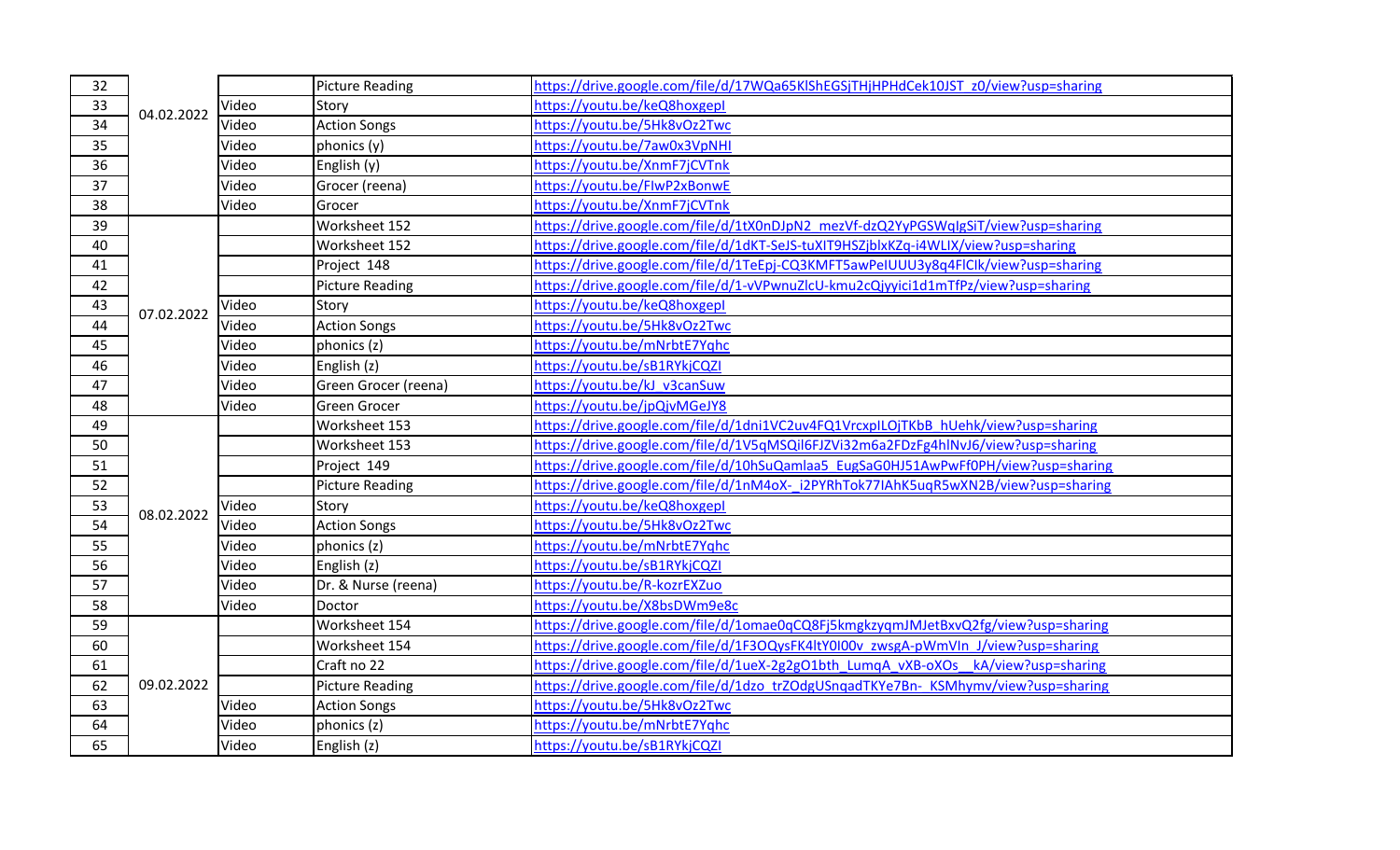| 32              | 04.02.2022 |       | <b>Picture Reading</b> | https://drive.google.com/file/d/17WQa65KlShEGSjTHjHPHdCek10JST_z0/view?usp=sharing |
|-----------------|------------|-------|------------------------|------------------------------------------------------------------------------------|
| 33              |            | Video | Story                  | https://youtu.be/keQ8hoxgepl                                                       |
| $\overline{34}$ |            | Video | <b>Action Songs</b>    | https://youtu.be/5Hk8vOz2Twc                                                       |
| 35              |            | Video | phonics (y)            | https://youtu.be/7aw0x3VpNHI                                                       |
| 36              |            | Video | English (y)            | https://youtu.be/XnmF7jCVTnk                                                       |
| 37              |            | Video | Grocer (reena)         | https://voutu.be/FlwP2xBonwE                                                       |
| 38              |            | Video | Grocer                 | https://youtu.be/XnmF7jCVTnk                                                       |
| 39              |            |       | Worksheet 152          | https://drive.google.com/file/d/1tX0nDJpN2 mezVf-dzQ2YyPGSWqlgSiT/view?usp=sharing |
| 40              |            |       | Worksheet 152          | https://drive.google.com/file/d/1dKT-SeJS-tuXIT9HSZjblxKZq-i4WLIX/view?usp=sharing |
| 41              |            |       | Project 148            | https://drive.google.com/file/d/1TeEpj-CQ3KMFT5awPeIUUU3y8q4FlClk/view?usp=sharing |
| 42              |            |       | <b>Picture Reading</b> | https://drive.google.com/file/d/1-vVPwnuZlcU-kmu2cQjyyici1d1mTfPz/view?usp=sharing |
| 43              | 07.02.2022 | Video | Story                  | https://youtu.be/keQ8hoxgepl                                                       |
| 44              |            | Video | <b>Action Songs</b>    | https://youtu.be/5Hk8vOz2Twc                                                       |
| 45              |            | Video | phonics (z)            | https://youtu.be/mNrbtE7Yqhc                                                       |
| 46              |            | Video | English (z)            | https://youtu.be/sB1RYkjCQZI                                                       |
| 47              |            | Video | Green Grocer (reena)   | https://youtu.be/kJ v3canSuw                                                       |
| 48              |            | Video | <b>Green Grocer</b>    | https://youtu.be/jpQjvMGeJY8                                                       |
| 49              |            |       | Worksheet 153          | https://drive.google.com/file/d/1dni1VC2uv4FQ1VrcxplLOjTKbB hUehk/view?usp=sharing |
| 50              |            |       | Worksheet 153          | https://drive.google.com/file/d/1V5qMSQil6FJZVi32m6a2FDzFg4hlNvJ6/view?usp=sharing |
| 51              |            |       | Project 149            | https://drive.google.com/file/d/10hSuQamlaa5 EugSaG0HJ51AwPwFf0PH/view?usp=sharing |
| 52              |            |       | <b>Picture Reading</b> | https://drive.google.com/file/d/1nM4oX-i2PYRhTok77IAhK5uqR5wXN2B/view?usp=sharing  |
| 53              | 08.02.2022 | Video | Story                  | https://youtu.be/keQ8hoxgepl                                                       |
| 54              |            | Video | <b>Action Songs</b>    | https://youtu.be/5Hk8vOz2Twc                                                       |
| 55              |            | Video | phonics (z)            | https://youtu.be/mNrbtE7Yghc                                                       |
| 56              |            | Video | English (z)            | https://youtu.be/sB1RYkjCQZI                                                       |
| 57              |            | Video | Dr. & Nurse (reena)    | https://youtu.be/R-kozrEXZuo                                                       |
| 58              |            | Video | Doctor                 | https://youtu.be/X8bsDWm9e8c                                                       |
| 59              |            |       | Worksheet 154          | https://drive.google.com/file/d/1omae0qCQ8Fj5kmgkzyqmJMJetBxvQ2fg/view?usp=sharing |
| 60              | 09.02.2022 |       | Worksheet 154          | https://drive.google.com/file/d/1F3OQysFK4ltY0I00v zwsgA-pWmVIn J/view?usp=sharing |
| 61              |            |       | Craft no 22            | https://drive.google.com/file/d/1ueX-2g2gO1bth LumqA vXB-oXOs kA/view?usp=sharing  |
| 62              |            |       | <b>Picture Reading</b> | https://drive.google.com/file/d/1dzo_trZOdgUSngadTKYe7Bn-_KSMhymv/view?usp=sharing |
| 63              |            | Video | <b>Action Songs</b>    | https://youtu.be/5Hk8vOz2Twc                                                       |
| 64              |            | Video | phonics (z)            | https://youtu.be/mNrbtE7Yqhc                                                       |
| 65              |            | Video | English (z)            | https://youtu.be/sB1RYkjCQZI                                                       |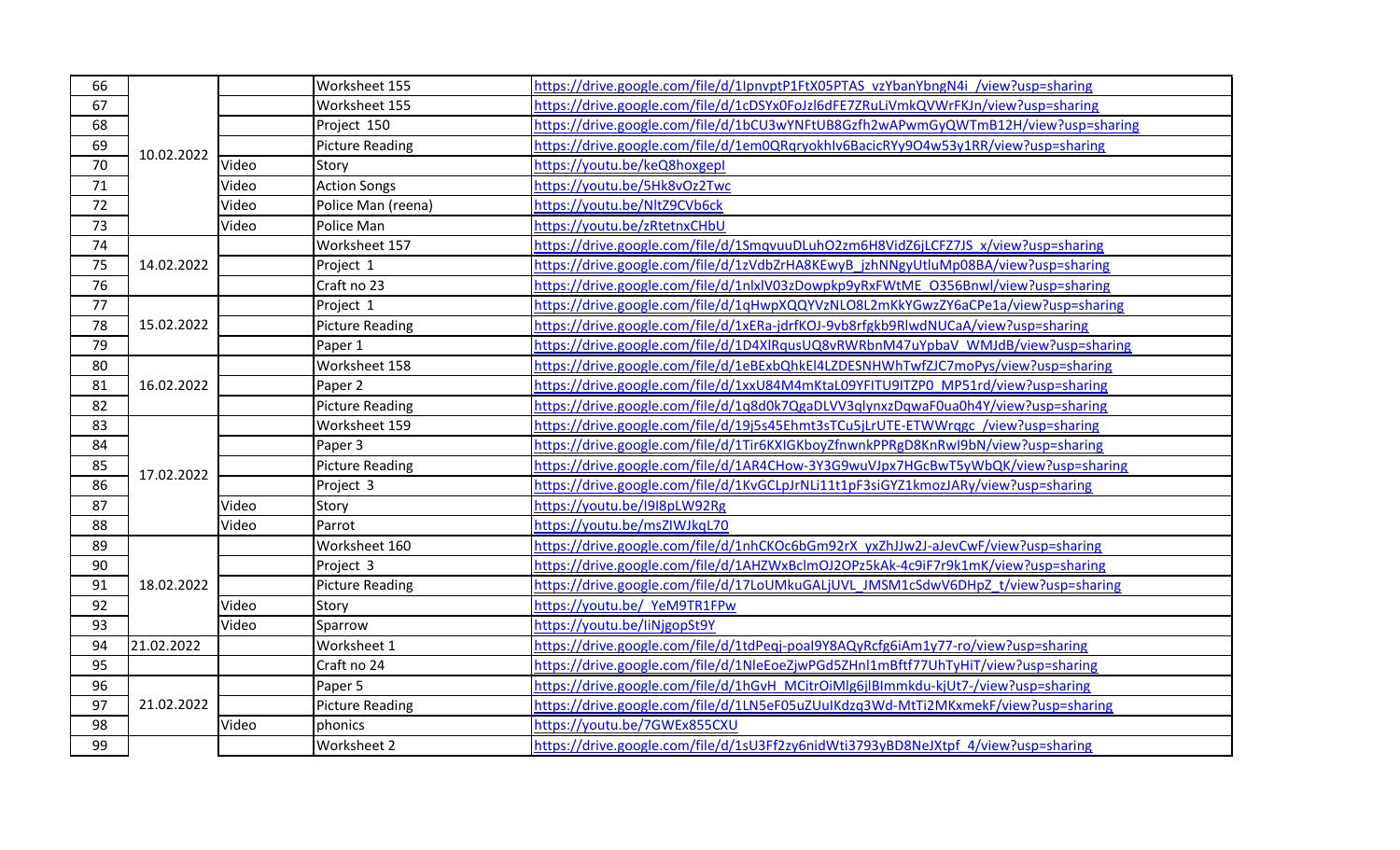| 66 | 10.02.2022 |       | Worksheet 155          | https://drive.google.com/file/d/1IpnvptP1FtX05PTAS_vzYbanYbngN4i_/view?usp=sharing |
|----|------------|-------|------------------------|------------------------------------------------------------------------------------|
| 67 |            |       | Worksheet 155          | https://drive.google.com/file/d/1cDSYx0FoJzl6dFE7ZRuLiVmkQVWrFKJn/view?usp=sharing |
| 68 |            |       | Project 150            | https://drive.google.com/file/d/1bCU3wYNFtUB8Gzfh2wAPwmGyQWTmB12H/view?usp=sharing |
| 69 |            |       | <b>Picture Reading</b> | https://drive.google.com/file/d/1em0QRqryokhlv6BacicRYy9O4w53y1RR/view?usp=sharing |
| 70 |            | Video | Story                  | https://youtu.be/keQ8hoxgepl                                                       |
| 71 |            | Video | <b>Action Songs</b>    | https://youtu.be/5Hk8vOz2Twc                                                       |
| 72 |            | Video | Police Man (reena)     | https://youtu.be/NltZ9CVb6ck                                                       |
| 73 |            | Video | Police Man             | https://youtu.be/zRtetnxCHbU                                                       |
| 74 |            |       | Worksheet 157          | https://drive.google.com/file/d/1SmqvuuDLuhO2zm6H8VidZ6jLCFZ7JS_x/view?usp=sharing |
| 75 | 14.02.2022 |       | Project 1              | https://drive.google.com/file/d/1zVdbZrHA8KEwyB_jzhNNgyUtluMp08BA/view?usp=sharing |
| 76 |            |       | Craft no 23            | https://drive.google.com/file/d/1nlxlV03zDowpkp9yRxFWtME_0356Bnwl/view?usp=sharing |
| 77 |            |       | Project 1              | https://drive.google.com/file/d/1qHwpXQQYVzNLO8L2mKkYGwzZY6aCPe1a/view?usp=sharing |
| 78 | 15.02.2022 |       | <b>Picture Reading</b> | https://drive.google.com/file/d/1xERa-jdrfKOJ-9vb8rfgkb9RlwdNUCaA/view?usp=sharing |
| 79 |            |       | Paper 1                | https://drive.google.com/file/d/1D4XlRqusUQ8vRWRbnM47uYpbaV_WMJdB/view?usp=sharing |
| 80 |            |       | Worksheet 158          | https://drive.google.com/file/d/1eBExbQhkEI4LZDESNHWhTwfZJC7moPys/view?usp=sharing |
| 81 | 16.02.2022 |       | Paper 2                | https://drive.google.com/file/d/1xxU84M4mKtaL09YFITU9ITZP0_MP51rd/view?usp=sharing |
| 82 |            |       | <b>Picture Reading</b> | https://drive.google.com/file/d/1q8d0k7QgaDLVV3qlynxzDqwaF0ua0h4Y/view?usp=sharing |
| 83 |            |       | Worksheet 159          | https://drive.google.com/file/d/19j5s45Ehmt3sTCu5jLrUTE-ETWWrqgc /view?usp=sharing |
| 84 |            |       | Paper 3                | https://drive.google.com/file/d/1Tir6KXIGKboyZfnwnkPPRgD8KnRwl9bN/view?usp=sharing |
| 85 | 17.02.2022 |       | <b>Picture Reading</b> | https://drive.google.com/file/d/1AR4CHow-3Y3G9wuVJpx7HGcBwT5yWbQK/view?usp=sharing |
| 86 |            |       | Project 3              | https://drive.google.com/file/d/1KvGCLpJrNLi11t1pF3siGYZ1kmozJARy/view?usp=sharing |
| 87 |            | Video | Story                  | https://youtu.be/I9I8pLW92Rg                                                       |
| 88 |            | Video | Parrot                 | https://youtu.be/msZIWJkqL70                                                       |
| 89 |            |       | Worksheet 160          | https://drive.google.com/file/d/1nhCKOc6bGm92rX_yxZhJJw2J-aJevCwF/view?usp=sharing |
| 90 |            |       | Project 3              | https://drive.google.com/file/d/1AHZWxBclmOJ2OPz5kAk-4c9iF7r9k1mK/view?usp=sharing |
| 91 | 18.02.2022 |       | <b>Picture Reading</b> | https://drive.google.com/file/d/17LoUMkuGALjUVL JMSM1cSdwV6DHpZ t/view?usp=sharing |
| 92 |            | Video | Story                  | https://youtu.be/ YeM9TR1FPw                                                       |
| 93 |            | Video | Sparrow                | https://youtu.be/liNjgopSt9Y                                                       |
| 94 | 21.02.2022 |       | Worksheet 1            | https://drive.google.com/file/d/1tdPeqj-poal9Y8AQyRcfg6iAm1y77-ro/view?usp=sharing |
| 95 |            |       | Craft no 24            | https://drive.google.com/file/d/1NleEoeZjwPGd5ZHnl1mBftf77UhTyHiT/view?usp=sharing |
| 96 |            |       | Paper 5                | https://drive.google.com/file/d/1hGvH_MCitrOiMlg6jlBImmkdu-kjUt7-/view?usp=sharing |
| 97 | 21.02.2022 |       | <b>Picture Reading</b> | https://drive.google.com/file/d/1LN5eF05uZUuIKdzg3Wd-MtTi2MKxmekF/view?usp=sharing |
| 98 |            | Video | phonics                | https://youtu.be/7GWEx855CXU                                                       |
| 99 |            |       | Worksheet 2            | https://drive.google.com/file/d/1sU3Ff2zy6nidWti3793yBD8NeJXtpf 4/view?usp=sharing |